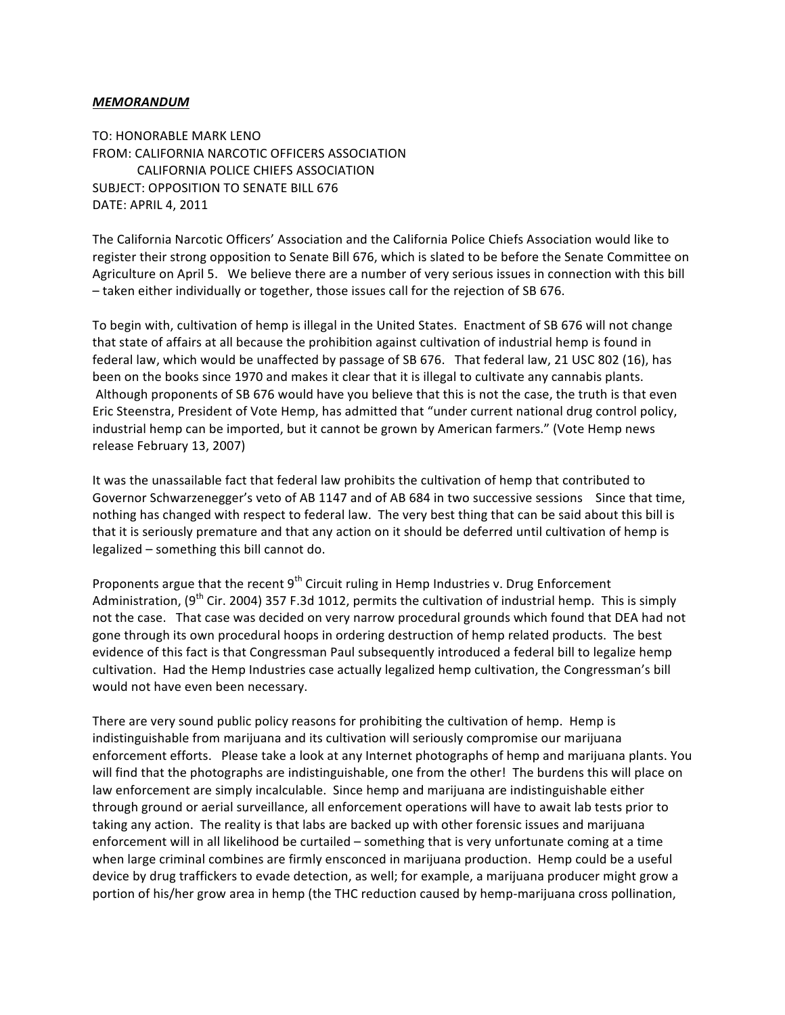## *MEMORANDUM*

TO: HONORABLE MARK LENO FROM: CALIFORNIA NARCOTIC OFFICERS ASSOCIATION CALIFORNIA POLICE CHIEFS ASSOCIATION SUBJECT: OPPOSITION TO SENATE BILL 676 DATE: APRIL 4, 2011

The California Narcotic Officers' Association and the California Police Chiefs Association would like to register their strong opposition to Senate Bill 676, which is slated to be before the Senate Committee on Agriculture on April 5. We believe there are a number of very serious issues in connection with this bill – taken either individually or together, those issues call for the rejection of SB 676.

To begin with, cultivation of hemp is illegal in the United States. Enactment of SB 676 will not change that state of affairs at all because the prohibition against cultivation of industrial hemp is found in federal law, which would be unaffected by passage of SB 676. That federal law, 21 USC 802 (16), has been on the books since 1970 and makes it clear that it is illegal to cultivate any cannabis plants. Although proponents of SB 676 would have you believe that this is not the case, the truth is that even Eric Steenstra, President of Vote Hemp, has admitted that "under current national drug control policy, industrial hemp can be imported, but it cannot be grown by American farmers." (Vote Hemp news release February 13, 2007)

It was the unassailable fact that federal law prohibits the cultivation of hemp that contributed to Governor Schwarzenegger's veto of AB 1147 and of AB 684 in two successive sessions Since that time, nothing has changed with respect to federal law. The very best thing that can be said about this bill is that it is seriously premature and that any action on it should be deferred until cultivation of hemp is legalized – something this bill cannot do.

Proponents argue that the recent  $9<sup>th</sup>$  Circuit ruling in Hemp Industries v. Drug Enforcement Administration, (9<sup>th</sup> Cir. 2004) 357 F.3d 1012, permits the cultivation of industrial hemp. This is simply not the case. That case was decided on very narrow procedural grounds which found that DEA had not gone through its own procedural hoops in ordering destruction of hemp related products. The best evidence of this fact is that Congressman Paul subsequently introduced a federal bill to legalize hemp cultivation. Had the Hemp Industries case actually legalized hemp cultivation, the Congressman's bill would not have even been necessary.

There are very sound public policy reasons for prohibiting the cultivation of hemp. Hemp is indistinguishable from marijuana and its cultivation will seriously compromise our marijuana enforcement efforts. Please take a look at any Internet photographs of hemp and marijuana plants. You will find that the photographs are indistinguishable, one from the other! The burdens this will place on law enforcement are simply incalculable. Since hemp and marijuana are indistinguishable either through ground or aerial surveillance, all enforcement operations will have to await lab tests prior to taking any action. The reality is that labs are backed up with other forensic issues and marijuana enforcement will in all likelihood be curtailed – something that is very unfortunate coming at a time when large criminal combines are firmly ensconced in marijuana production. Hemp could be a useful device by drug traffickers to evade detection, as well; for example, a marijuana producer might grow a portion of his/her grow area in hemp (the THC reduction caused by hemp-marijuana cross pollination,